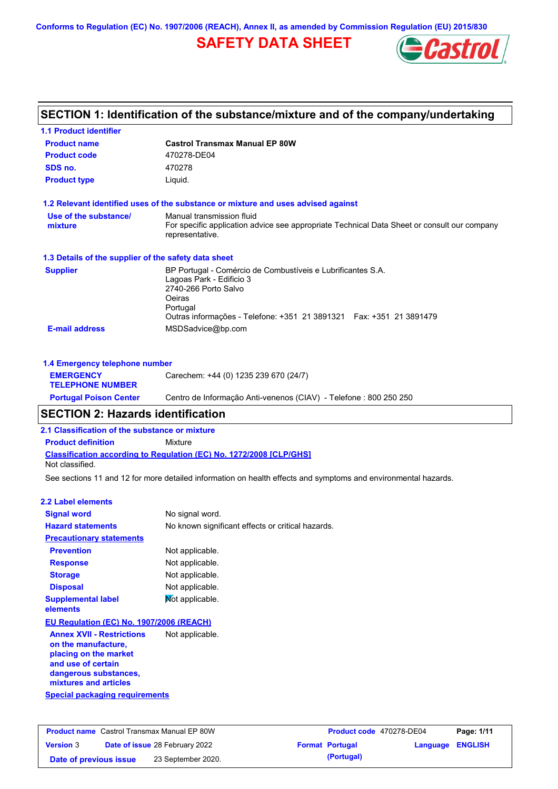**Conforms to Regulation (EC) No. 1907/2006 (REACH), Annex II, as amended by Commission Regulation (EU) 2015/830**

# **SAFETY DATA SHEET**



## **Castrol Transmax Manual EP 80W Product name 1.1 Product identifier 1.3 Details of the supplier of the safety data sheet Product type Liquid. E-mail address** MSDSadvice@bp.com **1.2 Relevant identified uses of the substance or mixture and uses advised against SECTION 1: Identification of the substance/mixture and of the company/undertaking Product code 470278-DE04 1.4 Emergency telephone number EMERGENCY TELEPHONE NUMBER** Carechem: +44 (0) 1235 239 670 (24/7) **Supplier** BP Portugal - Comércio de Combustíveis e Lubrificantes S.A. Lagoas Park - Edificio 3 2740-266 Porto Salvo Oeiras Portugal Outras informações - Telefone: +351 21 3891321 Fax: +351 21 3891479 **SDS no.** 470278 **Use of the substance/ mixture** Manual transmission fluid For specific application advice see appropriate Technical Data Sheet or consult our company representative. **Portugal Poison Center** Centro de Informação Anti-venenos (CIAV) - Telefone : 800 250 250

## **SECTION 2: Hazards identification**

**2.1 Classification of the substance or mixture**

**Classification according to Regulation (EC) No. 1272/2008 [CLP/GHS] Product definition** Mixture Not classified.

See sections 11 and 12 for more detailed information on health effects and symptoms and environmental hazards.

### **2.2 Label elements**

| <b>Signal word</b>                                                                                                                                       | No signal word.                                   |
|----------------------------------------------------------------------------------------------------------------------------------------------------------|---------------------------------------------------|
| <b>Hazard statements</b>                                                                                                                                 | No known significant effects or critical hazards. |
| <b>Precautionary statements</b>                                                                                                                          |                                                   |
| <b>Prevention</b>                                                                                                                                        | Not applicable.                                   |
| <b>Response</b>                                                                                                                                          | Not applicable.                                   |
| <b>Storage</b>                                                                                                                                           | Not applicable.                                   |
| <b>Disposal</b>                                                                                                                                          | Not applicable.                                   |
| <b>Supplemental label</b><br>elements                                                                                                                    | Mot applicable.                                   |
| EU Regulation (EC) No. 1907/2006 (REACH)                                                                                                                 |                                                   |
| <b>Annex XVII - Restrictions</b><br>on the manufacture,<br>placing on the market<br>and use of certain<br>dangerous substances,<br>mixtures and articles | Not applicable.                                   |

|  | Special packaging requirements |  |
|--|--------------------------------|--|
|  |                                |  |
|  |                                |  |

| <b>Product name</b> Castrol Transmax Manual EP 80W |  |                                       | Product code 470278-DE04 |                        | Page: 1/11              |  |
|----------------------------------------------------|--|---------------------------------------|--------------------------|------------------------|-------------------------|--|
| <b>Version 3</b>                                   |  | <b>Date of issue 28 February 2022</b> |                          | <b>Format Portugal</b> | <b>Language ENGLISH</b> |  |
| Date of previous issue                             |  | 23 September 2020.                    |                          | (Portugal)             |                         |  |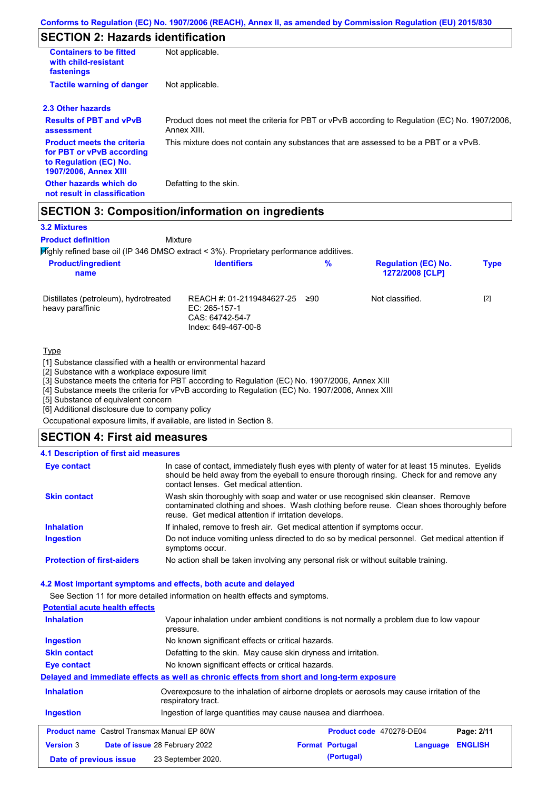## **SECTION 2: Hazards identification**

| <b>Containers to be fitted</b><br>with child-resistant<br>fastenings                                                     | Not applicable.                                                                                               |
|--------------------------------------------------------------------------------------------------------------------------|---------------------------------------------------------------------------------------------------------------|
| <b>Tactile warning of danger</b>                                                                                         | Not applicable.                                                                                               |
| 2.3 Other hazards                                                                                                        |                                                                                                               |
| <b>Results of PBT and vPvB</b><br>assessment                                                                             | Product does not meet the criteria for PBT or vPvB according to Regulation (EC) No. 1907/2006,<br>Annex XIII. |
| <b>Product meets the criteria</b><br>for PBT or vPvB according<br>to Regulation (EC) No.<br><b>1907/2006. Annex XIII</b> | This mixture does not contain any substances that are assessed to be a PBT or a vPvB.                         |
| Other hazards which do<br>not result in classification                                                                   | Defatting to the skin.                                                                                        |

## **SECTION 3: Composition/information on ingredients**

Mixture

### **3.2 Mixtures**

**Product definition**

**Highly refined base oil (IP 346 DMSO extract < 3%). Proprietary performance additives.** 

| <b>Product/ingredient</b><br>name                         | <b>Identifiers</b>                                                                   | $\%$ | <b>Regulation (EC) No.</b><br>1272/2008 [CLP] | <b>Type</b> |
|-----------------------------------------------------------|--------------------------------------------------------------------------------------|------|-----------------------------------------------|-------------|
| Distillates (petroleum), hydrotreated<br>heavy paraffinic | REACH #: 01-2119484627-25<br>EC: 265-157-1<br>CAS: 64742-54-7<br>Index: 649-467-00-8 | 290  | Not classified.                               | $[2]$       |

### Type

[1] Substance classified with a health or environmental hazard

[2] Substance with a workplace exposure limit

[3] Substance meets the criteria for PBT according to Regulation (EC) No. 1907/2006, Annex XIII

[4] Substance meets the criteria for vPvB according to Regulation (EC) No. 1907/2006, Annex XIII

[5] Substance of equivalent concern

[6] Additional disclosure due to company policy

Occupational exposure limits, if available, are listed in Section 8.

### **SECTION 4: First aid measures**

#### Do not induce vomiting unless directed to do so by medical personnel. Get medical attention if symptoms occur. In case of contact, immediately flush eyes with plenty of water for at least 15 minutes. Eyelids should be held away from the eyeball to ensure thorough rinsing. Check for and remove any contact lenses. Get medical attention. **4.1 Description of first aid measures** If inhaled, remove to fresh air. Get medical attention if symptoms occur. **Ingestion Inhalation Eye contact Protection of first-aiders** No action shall be taken involving any personal risk or without suitable training. **Skin contact** Wash skin thoroughly with soap and water or use recognised skin cleanser. Remove contaminated clothing and shoes. Wash clothing before reuse. Clean shoes thoroughly before reuse. Get medical attention if irritation develops.

### **4.2 Most important symptoms and effects, both acute and delayed**

See Section 11 for more detailed information on health effects and symptoms.

| <b>Potential acute health effects</b>              |                                                                                                                   |                                                                                        |                                 |          |                |  |
|----------------------------------------------------|-------------------------------------------------------------------------------------------------------------------|----------------------------------------------------------------------------------------|---------------------------------|----------|----------------|--|
| <b>Inhalation</b>                                  | pressure.                                                                                                         | Vapour inhalation under ambient conditions is not normally a problem due to low vapour |                                 |          |                |  |
| <b>Ingestion</b>                                   |                                                                                                                   | No known significant effects or critical hazards.                                      |                                 |          |                |  |
| <b>Skin contact</b>                                | Defatting to the skin. May cause skin dryness and irritation.                                                     |                                                                                        |                                 |          |                |  |
| Eye contact                                        | No known significant effects or critical hazards.                                                                 |                                                                                        |                                 |          |                |  |
|                                                    | Delayed and immediate effects as well as chronic effects from short and long-term exposure                        |                                                                                        |                                 |          |                |  |
| <b>Inhalation</b>                                  | Overexposure to the inhalation of airborne droplets or aerosols may cause irritation of the<br>respiratory tract. |                                                                                        |                                 |          |                |  |
| <b>Ingestion</b>                                   | Ingestion of large quantities may cause nausea and diarrhoea.                                                     |                                                                                        |                                 |          |                |  |
| <b>Product name</b> Castrol Transmax Manual EP 80W |                                                                                                                   |                                                                                        | <b>Product code</b> 470278-DE04 |          | Page: 2/11     |  |
| <b>Version 3</b>                                   | <b>Date of issue 28 February 2022</b>                                                                             |                                                                                        | <b>Format Portugal</b>          | Language | <b>ENGLISH</b> |  |
| Date of previous issue                             | 23 September 2020.                                                                                                |                                                                                        | (Portugal)                      |          |                |  |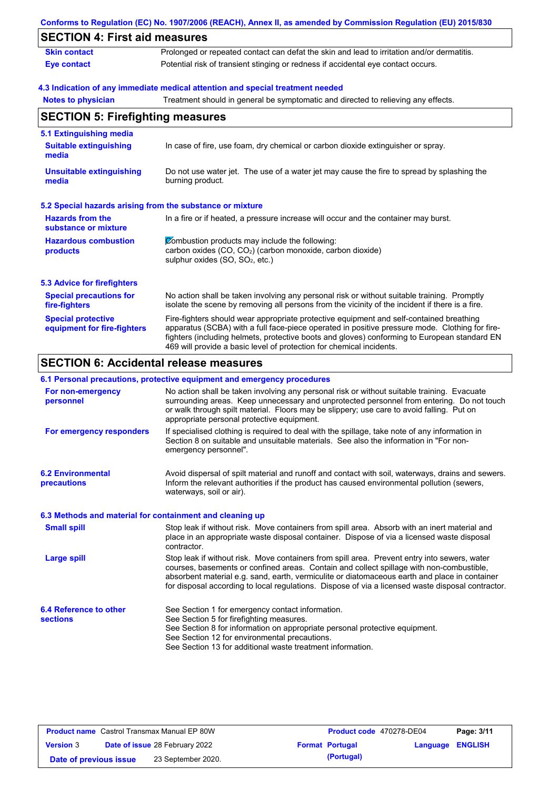|                                                          | Conforms to Regulation (EC) No. 1907/2006 (REACH), Annex II, as amended by Commission Regulation (EU) 2015/830                                                                                                                                                                                                                                                    |  |  |  |  |  |
|----------------------------------------------------------|-------------------------------------------------------------------------------------------------------------------------------------------------------------------------------------------------------------------------------------------------------------------------------------------------------------------------------------------------------------------|--|--|--|--|--|
| <b>SECTION 4: First aid measures</b>                     |                                                                                                                                                                                                                                                                                                                                                                   |  |  |  |  |  |
| <b>Skin contact</b>                                      | Prolonged or repeated contact can defat the skin and lead to irritation and/or dermatitis.                                                                                                                                                                                                                                                                        |  |  |  |  |  |
| <b>Eye contact</b>                                       | Potential risk of transient stinging or redness if accidental eye contact occurs.                                                                                                                                                                                                                                                                                 |  |  |  |  |  |
|                                                          | 4.3 Indication of any immediate medical attention and special treatment needed                                                                                                                                                                                                                                                                                    |  |  |  |  |  |
| <b>Notes to physician</b>                                | Treatment should in general be symptomatic and directed to relieving any effects.                                                                                                                                                                                                                                                                                 |  |  |  |  |  |
| <b>SECTION 5: Firefighting measures</b>                  |                                                                                                                                                                                                                                                                                                                                                                   |  |  |  |  |  |
| 5.1 Extinguishing media                                  |                                                                                                                                                                                                                                                                                                                                                                   |  |  |  |  |  |
| <b>Suitable extinguishing</b><br>media                   | In case of fire, use foam, dry chemical or carbon dioxide extinguisher or spray.                                                                                                                                                                                                                                                                                  |  |  |  |  |  |
| <b>Unsuitable extinguishing</b><br>media                 | Do not use water jet. The use of a water jet may cause the fire to spread by splashing the<br>burning product.                                                                                                                                                                                                                                                    |  |  |  |  |  |
|                                                          | 5.2 Special hazards arising from the substance or mixture                                                                                                                                                                                                                                                                                                         |  |  |  |  |  |
| <b>Hazards from the</b><br>substance or mixture          | In a fire or if heated, a pressure increase will occur and the container may burst.                                                                                                                                                                                                                                                                               |  |  |  |  |  |
| <b>Hazardous combustion</b><br>products                  | Combustion products may include the following:<br>carbon oxides (CO, CO <sub>2</sub> ) (carbon monoxide, carbon dioxide)<br>sulphur oxides (SO, SO <sub>2</sub> , etc.)                                                                                                                                                                                           |  |  |  |  |  |
| <b>5.3 Advice for firefighters</b>                       |                                                                                                                                                                                                                                                                                                                                                                   |  |  |  |  |  |
| <b>Special precautions for</b><br>fire-fighters          | No action shall be taken involving any personal risk or without suitable training. Promptly<br>isolate the scene by removing all persons from the vicinity of the incident if there is a fire.                                                                                                                                                                    |  |  |  |  |  |
| <b>Special protective</b><br>equipment for fire-fighters | Fire-fighters should wear appropriate protective equipment and self-contained breathing<br>apparatus (SCBA) with a full face-piece operated in positive pressure mode. Clothing for fire-<br>fighters (including helmets, protective boots and gloves) conforming to European standard EN<br>469 will provide a basic level of protection for chemical incidents. |  |  |  |  |  |
|                                                          | <b>SECTION 6: Accidental release measures</b>                                                                                                                                                                                                                                                                                                                     |  |  |  |  |  |
|                                                          | 6.1 Personal precautions, protective equipment and emergency procedures                                                                                                                                                                                                                                                                                           |  |  |  |  |  |
| For non-emergency<br>personnel                           | No action shall be taken involving any personal risk or without suitable training. Evacuate<br>surrounding areas. Keep unnecessary and unprotected personnel from entering. Do not touch                                                                                                                                                                          |  |  |  |  |  |

| personnel                                                | action chair bo tanon in rorring any porconal non or mulout canable training.<br>surrounding areas. Keep unnecessary and unprotected personnel from entering. Do not touch<br>or walk through spilt material. Floors may be slippery; use care to avoid falling. Put on<br>appropriate personal protective equipment.                                                                          |
|----------------------------------------------------------|------------------------------------------------------------------------------------------------------------------------------------------------------------------------------------------------------------------------------------------------------------------------------------------------------------------------------------------------------------------------------------------------|
| For emergency responders                                 | If specialised clothing is required to deal with the spillage, take note of any information in<br>Section 8 on suitable and unsuitable materials. See also the information in "For non-<br>emergency personnel".                                                                                                                                                                               |
| <b>6.2 Environmental</b><br><b>precautions</b>           | Avoid dispersal of spilt material and runoff and contact with soil, waterways, drains and sewers.<br>Inform the relevant authorities if the product has caused environmental pollution (sewers,<br>waterways, soil or air).                                                                                                                                                                    |
| 6.3 Methods and material for containment and cleaning up |                                                                                                                                                                                                                                                                                                                                                                                                |
| <b>Small spill</b>                                       | Stop leak if without risk. Move containers from spill area. Absorb with an inert material and<br>place in an appropriate waste disposal container. Dispose of via a licensed waste disposal<br>contractor.                                                                                                                                                                                     |
| <b>Large spill</b>                                       | Stop leak if without risk. Move containers from spill area. Prevent entry into sewers, water<br>courses, basements or confined areas. Contain and collect spillage with non-combustible,<br>absorbent material e.g. sand, earth, vermiculite or diatomaceous earth and place in container<br>for disposal according to local regulations. Dispose of via a licensed waste disposal contractor. |
| 6.4 Reference to other                                   | See Section 1 for emergency contact information.                                                                                                                                                                                                                                                                                                                                               |
| <b>sections</b>                                          | See Section 5 for firefighting measures.                                                                                                                                                                                                                                                                                                                                                       |
|                                                          | See Section 8 for information on appropriate personal protective equipment.<br>See Section 12 for environmental precautions.                                                                                                                                                                                                                                                                   |
|                                                          | See Section 13 for additional waste treatment information.                                                                                                                                                                                                                                                                                                                                     |
|                                                          |                                                                                                                                                                                                                                                                                                                                                                                                |

| <b>Product name</b> Castrol Transmax Manual EP 80W |  |                                       | <b>Product code</b> 470278-DE04 |                        | Page: 3/11       |  |
|----------------------------------------------------|--|---------------------------------------|---------------------------------|------------------------|------------------|--|
| <b>Version 3</b>                                   |  | <b>Date of issue 28 February 2022</b> |                                 | <b>Format Portugal</b> | Language ENGLISH |  |
| Date of previous issue                             |  | 23 September 2020.                    |                                 | (Portugal)             |                  |  |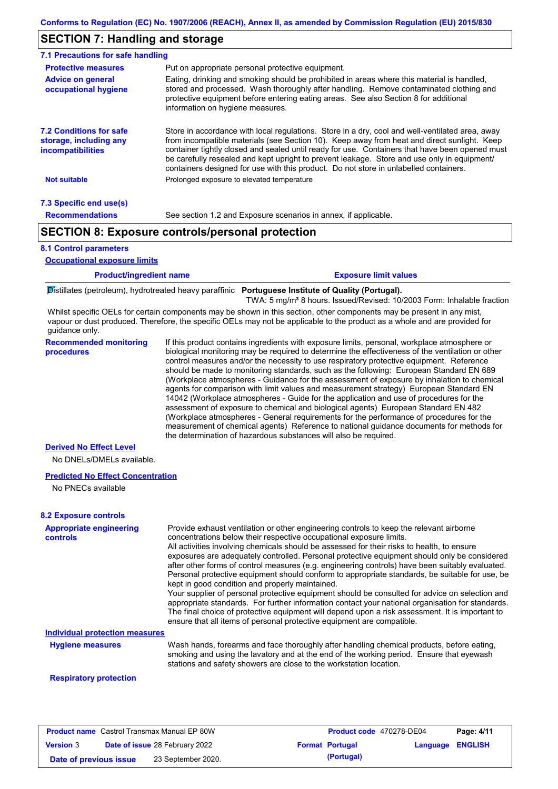## **SECTION 7: Handling and storage**

| 7.1 Precautions for safe handling                                             |                                                                                                                                                                                                                                                                                                                                                                                                                                                                                          |
|-------------------------------------------------------------------------------|------------------------------------------------------------------------------------------------------------------------------------------------------------------------------------------------------------------------------------------------------------------------------------------------------------------------------------------------------------------------------------------------------------------------------------------------------------------------------------------|
| <b>Protective measures</b>                                                    | Put on appropriate personal protective equipment.                                                                                                                                                                                                                                                                                                                                                                                                                                        |
| <b>Advice on general</b><br>occupational hygiene                              | Eating, drinking and smoking should be prohibited in areas where this material is handled,<br>stored and processed. Wash thoroughly after handling. Remove contaminated clothing and<br>protective equipment before entering eating areas. See also Section 8 for additional<br>information on hygiene measures.                                                                                                                                                                         |
| <b>7.2 Conditions for safe</b><br>storage, including any<br>incompatibilities | Store in accordance with local requlations. Store in a dry, cool and well-ventilated area, away<br>from incompatible materials (see Section 10). Keep away from heat and direct sunlight. Keep<br>container tightly closed and sealed until ready for use. Containers that have been opened must<br>be carefully resealed and kept upright to prevent leakage. Store and use only in equipment/<br>containers designed for use with this product. Do not store in unlabelled containers. |
| Not suitable                                                                  | Prolonged exposure to elevated temperature                                                                                                                                                                                                                                                                                                                                                                                                                                               |
| 7.3 Specific end use(s)                                                       |                                                                                                                                                                                                                                                                                                                                                                                                                                                                                          |
| <b>Recommendations</b>                                                        | See section 1.2 and Exposure scenarios in annex, if applicable.                                                                                                                                                                                                                                                                                                                                                                                                                          |
|                                                                               | <b>SECTION 8: Exposure controls/personal protection</b>                                                                                                                                                                                                                                                                                                                                                                                                                                  |

#### **8.1 Control parameters**

**Occupational exposure limits**

| <b>Product/ingredient name</b> |                   | <b>Exposure limit values</b> |  |
|--------------------------------|-------------------|------------------------------|--|
|                                | $\cdots$ $\cdots$ |                              |  |

Distillates (petroleum), hydrotreated heavy paraffinic **Portuguese Institute of Quality (Portugal).**

TWA: 5 mg/m³ 8 hours. Issued/Revised: 10/2003 Form: Inhalable fraction

Whilst specific OELs for certain components may be shown in this section, other components may be present in any mist, vapour or dust produced. Therefore, the specific OELs may not be applicable to the product as a whole and are provided for guidance only.

**Recommended monitoring procedures** If this product contains ingredients with exposure limits, personal, workplace atmosphere or biological monitoring may be required to determine the effectiveness of the ventilation or other control measures and/or the necessity to use respiratory protective equipment. Reference should be made to monitoring standards, such as the following: European Standard EN 689 (Workplace atmospheres - Guidance for the assessment of exposure by inhalation to chemical agents for comparison with limit values and measurement strategy) European Standard EN 14042 (Workplace atmospheres - Guide for the application and use of procedures for the assessment of exposure to chemical and biological agents) European Standard EN 482 (Workplace atmospheres - General requirements for the performance of procedures for the measurement of chemical agents) Reference to national guidance documents for methods for the determination of hazardous substances will also be required.

### **Derived No Effect Level**

No DNELs/DMELs available.

#### **Predicted No Effect Concentration**

No PNECs available

#### **Appropriate engineering controls** Provide exhaust ventilation or other engineering controls to keep the relevant airborne concentrations below their respective occupational exposure limits. All activities involving chemicals should be assessed for their risks to health, to ensure exposures are adequately controlled. Personal protective equipment should only be considered after other forms of control measures (e.g. engineering controls) have been suitably evaluated. Personal protective equipment should conform to appropriate standards, be suitable for use, be kept in good condition and properly maintained. Your supplier of personal protective equipment should be consulted for advice on selection and appropriate standards. For further information contact your national organisation for standards. The final choice of protective equipment will depend upon a risk assessment. It is important to ensure that all items of personal protective equipment are compatible. Wash hands, forearms and face thoroughly after handling chemical products, before eating, smoking and using the lavatory and at the end of the working period. Ensure that eyewash stations and safety showers are close to the workstation location. **8.2 Exposure controls Hygiene measures Individual protection measures**

#### **Respiratory protection**

| <b>Product name</b> Castrol Transmax Manual EP 80W |  |                                       | Product code 470278-DE04 | Page: 4/11             |                         |  |
|----------------------------------------------------|--|---------------------------------------|--------------------------|------------------------|-------------------------|--|
| <b>Version 3</b>                                   |  | <b>Date of issue 28 February 2022</b> |                          | <b>Format Portugal</b> | <b>Language ENGLISH</b> |  |
| Date of previous issue                             |  | 23 September 2020.                    |                          | (Portugal)             |                         |  |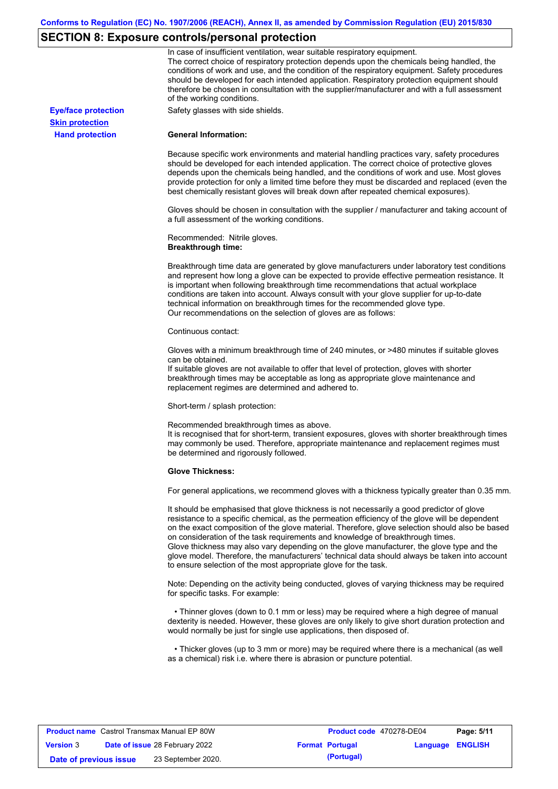# **SECTION 8: Exposure controls/personal protection**

|                            | In case of insufficient ventilation, wear suitable respiratory equipment.<br>The correct choice of respiratory protection depends upon the chemicals being handled, the<br>conditions of work and use, and the condition of the respiratory equipment. Safety procedures<br>should be developed for each intended application. Respiratory protection equipment should<br>therefore be chosen in consultation with the supplier/manufacturer and with a full assessment<br>of the working conditions.                                                                                                                                             |
|----------------------------|---------------------------------------------------------------------------------------------------------------------------------------------------------------------------------------------------------------------------------------------------------------------------------------------------------------------------------------------------------------------------------------------------------------------------------------------------------------------------------------------------------------------------------------------------------------------------------------------------------------------------------------------------|
| <b>Eye/face protection</b> | Safety glasses with side shields.                                                                                                                                                                                                                                                                                                                                                                                                                                                                                                                                                                                                                 |
| <b>Skin protection</b>     |                                                                                                                                                                                                                                                                                                                                                                                                                                                                                                                                                                                                                                                   |
| <b>Hand protection</b>     | <b>General Information:</b>                                                                                                                                                                                                                                                                                                                                                                                                                                                                                                                                                                                                                       |
|                            | Because specific work environments and material handling practices vary, safety procedures<br>should be developed for each intended application. The correct choice of protective gloves<br>depends upon the chemicals being handled, and the conditions of work and use. Most gloves<br>provide protection for only a limited time before they must be discarded and replaced (even the<br>best chemically resistant gloves will break down after repeated chemical exposures).                                                                                                                                                                  |
|                            | Gloves should be chosen in consultation with the supplier / manufacturer and taking account of<br>a full assessment of the working conditions.                                                                                                                                                                                                                                                                                                                                                                                                                                                                                                    |
|                            | Recommended: Nitrile gloves.<br><b>Breakthrough time:</b>                                                                                                                                                                                                                                                                                                                                                                                                                                                                                                                                                                                         |
|                            | Breakthrough time data are generated by glove manufacturers under laboratory test conditions<br>and represent how long a glove can be expected to provide effective permeation resistance. It<br>is important when following breakthrough time recommendations that actual workplace<br>conditions are taken into account. Always consult with your glove supplier for up-to-date<br>technical information on breakthrough times for the recommended glove type.<br>Our recommendations on the selection of gloves are as follows:                                                                                                                |
|                            | Continuous contact:                                                                                                                                                                                                                                                                                                                                                                                                                                                                                                                                                                                                                               |
|                            | Gloves with a minimum breakthrough time of 240 minutes, or >480 minutes if suitable gloves<br>can be obtained.<br>If suitable gloves are not available to offer that level of protection, gloves with shorter<br>breakthrough times may be acceptable as long as appropriate glove maintenance and<br>replacement regimes are determined and adhered to.                                                                                                                                                                                                                                                                                          |
|                            | Short-term / splash protection:                                                                                                                                                                                                                                                                                                                                                                                                                                                                                                                                                                                                                   |
|                            | Recommended breakthrough times as above.<br>It is recognised that for short-term, transient exposures, gloves with shorter breakthrough times<br>may commonly be used. Therefore, appropriate maintenance and replacement regimes must<br>be determined and rigorously followed.                                                                                                                                                                                                                                                                                                                                                                  |
|                            | <b>Glove Thickness:</b>                                                                                                                                                                                                                                                                                                                                                                                                                                                                                                                                                                                                                           |
|                            | For general applications, we recommend gloves with a thickness typically greater than 0.35 mm.                                                                                                                                                                                                                                                                                                                                                                                                                                                                                                                                                    |
|                            | It should be emphasised that glove thickness is not necessarily a good predictor of glove<br>resistance to a specific chemical, as the permeation efficiency of the glove will be dependent<br>on the exact composition of the glove material. Therefore, glove selection should also be based<br>on consideration of the task requirements and knowledge of breakthrough times.<br>Glove thickness may also vary depending on the glove manufacturer, the glove type and the<br>glove model. Therefore, the manufacturers' technical data should always be taken into account<br>to ensure selection of the most appropriate glove for the task. |
|                            | Note: Depending on the activity being conducted, gloves of varying thickness may be required<br>for specific tasks. For example:                                                                                                                                                                                                                                                                                                                                                                                                                                                                                                                  |
|                            | • Thinner gloves (down to 0.1 mm or less) may be required where a high degree of manual<br>dexterity is needed. However, these gloves are only likely to give short duration protection and<br>would normally be just for single use applications, then disposed of.                                                                                                                                                                                                                                                                                                                                                                              |
|                            | • Thicker gloves (up to 3 mm or more) may be required where there is a mechanical (as well<br>as a chemical) risk i.e. where there is abrasion or puncture potential.                                                                                                                                                                                                                                                                                                                                                                                                                                                                             |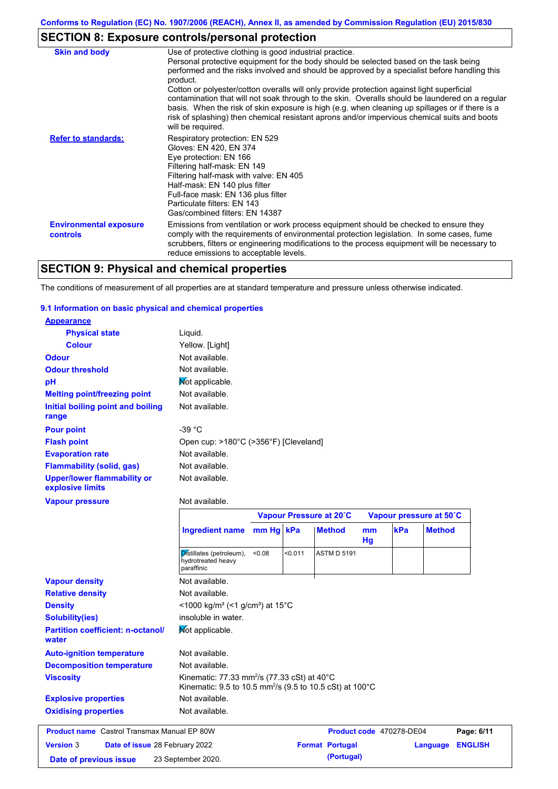# **SECTION 8: Exposure controls/personal protection**

| <b>Skin and body</b>                             | Use of protective clothing is good industrial practice.                                                                                                                                                                                                                                                                                                                                                                                                                                                                                                                                                                    |
|--------------------------------------------------|----------------------------------------------------------------------------------------------------------------------------------------------------------------------------------------------------------------------------------------------------------------------------------------------------------------------------------------------------------------------------------------------------------------------------------------------------------------------------------------------------------------------------------------------------------------------------------------------------------------------------|
|                                                  | Personal protective equipment for the body should be selected based on the task being<br>performed and the risks involved and should be approved by a specialist before handling this<br>product.<br>Cotton or polyester/cotton overalls will only provide protection against light superficial<br>contamination that will not soak through to the skin. Overalls should be laundered on a regular<br>basis. When the risk of skin exposure is high (e.g. when cleaning up spillages or if there is a<br>risk of splashing) then chemical resistant aprons and/or impervious chemical suits and boots<br>will be required. |
| <b>Refer to standards:</b>                       | Respiratory protection: EN 529<br>Gloves: EN 420, EN 374<br>Eye protection: EN 166<br>Filtering half-mask: EN 149<br>Filtering half-mask with valve: EN 405<br>Half-mask: EN 140 plus filter<br>Full-face mask: EN 136 plus filter<br>Particulate filters: EN 143<br>Gas/combined filters: EN 14387                                                                                                                                                                                                                                                                                                                        |
| <b>Environmental exposure</b><br><b>controls</b> | Emissions from ventilation or work process equipment should be checked to ensure they<br>comply with the requirements of environmental protection legislation. In some cases, fume<br>scrubbers, filters or engineering modifications to the process equipment will be necessary to<br>reduce emissions to acceptable levels.                                                                                                                                                                                                                                                                                              |

## **SECTION 9: Physical and chemical properties**

The conditions of measurement of all properties are at standard temperature and pressure unless otherwise indicated.

### **9.1 Information on basic physical and chemical properties**

| <b>Appearance</b>                                      |                                                                      |           |         |                         |                     |     |                         |
|--------------------------------------------------------|----------------------------------------------------------------------|-----------|---------|-------------------------|---------------------|-----|-------------------------|
| <b>Physical state</b>                                  | Liquid.                                                              |           |         |                         |                     |     |                         |
| <b>Colour</b>                                          | Yellow. [Light]                                                      |           |         |                         |                     |     |                         |
| <b>Odour</b>                                           | Not available.                                                       |           |         |                         |                     |     |                         |
| <b>Odour threshold</b>                                 | Not available.                                                       |           |         |                         |                     |     |                         |
| рH                                                     | Mot applicable.                                                      |           |         |                         |                     |     |                         |
| <b>Melting point/freezing point</b>                    | Not available.                                                       |           |         |                         |                     |     |                         |
| Initial boiling point and boiling<br>range             | Not available.                                                       |           |         |                         |                     |     |                         |
| <b>Pour point</b>                                      | $-39 °C$                                                             |           |         |                         |                     |     |                         |
| <b>Flash point</b>                                     | Open cup: >180°C (>356°F) [Cleveland]                                |           |         |                         |                     |     |                         |
| <b>Evaporation rate</b>                                | Not available.                                                       |           |         |                         |                     |     |                         |
| <b>Flammability (solid, gas)</b>                       | Not available.                                                       |           |         |                         |                     |     |                         |
| <b>Upper/lower flammability or</b><br>explosive limits | Not available.                                                       |           |         |                         |                     |     |                         |
| <b>Vapour pressure</b>                                 | Not available.                                                       |           |         |                         |                     |     |                         |
|                                                        |                                                                      |           |         | Vapour Pressure at 20°C |                     |     | Vapour pressure at 50°C |
|                                                        | <b>Ingredient name</b>                                               | mm Hg kPa |         | <b>Method</b>           | <sub>mm</sub><br>Hg | kPa | <b>Method</b>           |
|                                                        | Distillates (petroleum),<br>hydrotreated heavy<br>paraffinic         | < 0.08    | < 0.011 | <b>ASTM D 5191</b>      |                     |     |                         |
| <b>Vapour density</b>                                  | Not available.                                                       |           |         |                         |                     |     |                         |
| <b>Relative density</b>                                | Not available.                                                       |           |         |                         |                     |     |                         |
| <b>Density</b>                                         | <1000 kg/m <sup>3</sup> (<1 g/cm <sup>3</sup> ) at 15 <sup>°</sup> C |           |         |                         |                     |     |                         |
| <b>Solubility(ies)</b>                                 | insoluble in water.                                                  |           |         |                         |                     |     |                         |
| <b>Partition coefficient: n-octanol/</b><br>water      | Mot applicable.                                                      |           |         |                         |                     |     |                         |
| <b>Auto-ignition temperature</b>                       |                                                                      |           |         |                         |                     |     |                         |
|                                                        | Not available.                                                       |           |         |                         |                     |     |                         |
| <b>Decomposition temperature</b>                       | Not available.                                                       |           |         |                         |                     |     |                         |

Not available. Kinematic: 9.5 to 10.5 mm<sup>2</sup> /s (9.5 to 10.5 cSt) at 100°C

## **Explosive properties Oxidising properties** Not available.

| <b>Product name</b> Castrol Transmax Manual EP 80W |  | Product code 470278-DE04              |  | Page: 6/11             |                         |  |
|----------------------------------------------------|--|---------------------------------------|--|------------------------|-------------------------|--|
| <b>Version 3</b>                                   |  | <b>Date of issue 28 February 2022</b> |  | <b>Format Portugal</b> | <b>Language ENGLISH</b> |  |
| Date of previous issue                             |  | 23 September 2020.                    |  | (Portugal)             |                         |  |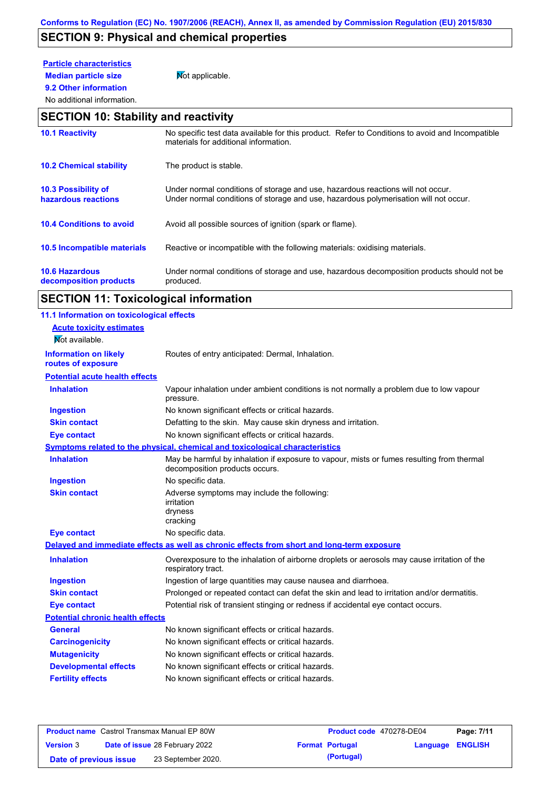# **SECTION 9: Physical and chemical properties**

# **Particle characteristics**

**9.2 Other information**

**Median particle size** Not applicable.

### No additional information.

## **SECTION 10: Stability and reactivity**

| <b>10.1 Reactivity</b>                            | No specific test data available for this product. Refer to Conditions to avoid and Incompatible<br>materials for additional information.                                |
|---------------------------------------------------|-------------------------------------------------------------------------------------------------------------------------------------------------------------------------|
| <b>10.2 Chemical stability</b>                    | The product is stable.                                                                                                                                                  |
| <b>10.3 Possibility of</b><br>hazardous reactions | Under normal conditions of storage and use, hazardous reactions will not occur.<br>Under normal conditions of storage and use, hazardous polymerisation will not occur. |
| <b>10.4 Conditions to avoid</b>                   | Avoid all possible sources of ignition (spark or flame).                                                                                                                |
| 10.5 Incompatible materials                       | Reactive or incompatible with the following materials: oxidising materials.                                                                                             |
| <b>10.6 Hazardous</b><br>decomposition products   | Under normal conditions of storage and use, hazardous decomposition products should not be<br>produced.                                                                 |

# **SECTION 11: Toxicological information**

| 11.1 Information on toxicological effects |                                                                                                                             |
|-------------------------------------------|-----------------------------------------------------------------------------------------------------------------------------|
| <b>Acute toxicity estimates</b>           |                                                                                                                             |
| Not available.                            |                                                                                                                             |
| <b>Information on likely</b>              | Routes of entry anticipated: Dermal, Inhalation.                                                                            |
| routes of exposure                        |                                                                                                                             |
| <b>Potential acute health effects</b>     |                                                                                                                             |
| <b>Inhalation</b>                         | Vapour inhalation under ambient conditions is not normally a problem due to low vapour<br>pressure.                         |
| <b>Ingestion</b>                          | No known significant effects or critical hazards.                                                                           |
| <b>Skin contact</b>                       | Defatting to the skin. May cause skin dryness and irritation.                                                               |
| <b>Eye contact</b>                        | No known significant effects or critical hazards.                                                                           |
|                                           | Symptoms related to the physical, chemical and toxicological characteristics                                                |
| <b>Inhalation</b>                         | May be harmful by inhalation if exposure to vapour, mists or fumes resulting from thermal<br>decomposition products occurs. |
| <b>Ingestion</b>                          | No specific data.                                                                                                           |
| <b>Skin contact</b>                       | Adverse symptoms may include the following:<br>irritation<br>dryness<br>cracking                                            |
| <b>Eye contact</b>                        | No specific data.                                                                                                           |
|                                           | Delayed and immediate effects as well as chronic effects from short and long-term exposure                                  |
| <b>Inhalation</b>                         | Overexposure to the inhalation of airborne droplets or aerosols may cause irritation of the<br>respiratory tract.           |
| <b>Ingestion</b>                          | Ingestion of large quantities may cause nausea and diarrhoea.                                                               |
| <b>Skin contact</b>                       | Prolonged or repeated contact can defat the skin and lead to irritation and/or dermatitis.                                  |
| <b>Eye contact</b>                        | Potential risk of transient stinging or redness if accidental eye contact occurs.                                           |
| <b>Potential chronic health effects</b>   |                                                                                                                             |
| <b>General</b>                            | No known significant effects or critical hazards.                                                                           |
| <b>Carcinogenicity</b>                    | No known significant effects or critical hazards.                                                                           |
| <b>Mutagenicity</b>                       | No known significant effects or critical hazards.                                                                           |
| <b>Developmental effects</b>              | No known significant effects or critical hazards.                                                                           |
| <b>Fertility effects</b>                  | No known significant effects or critical hazards.                                                                           |
|                                           |                                                                                                                             |

| <b>Product name</b> Castrol Transmax Manual EP 80W |  | Product code 470278-DE04              |  | Page: 7/11             |                         |  |
|----------------------------------------------------|--|---------------------------------------|--|------------------------|-------------------------|--|
| <b>Version 3</b>                                   |  | <b>Date of issue 28 February 2022</b> |  | <b>Format Portugal</b> | <b>Language ENGLISH</b> |  |
| Date of previous issue                             |  | 23 September 2020.                    |  | (Portugal)             |                         |  |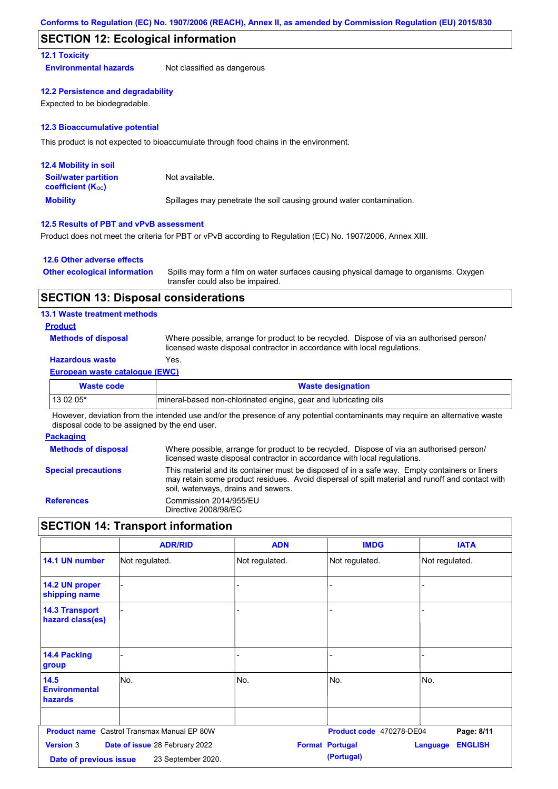## **SECTION 12: Ecological information**

### **12.1 Toxicity**

**Environmental hazards** Not classified as dangerous

### **12.2 Persistence and degradability**

Expected to be biodegradable.

### **12.3 Bioaccumulative potential**

This product is not expected to bioaccumulate through food chains in the environment.

| <b>12.4 Mobility in soil</b>                                  |                                                                      |
|---------------------------------------------------------------|----------------------------------------------------------------------|
| <b>Soil/water partition</b><br>coefficient (K <sub>oc</sub> ) | Not available.                                                       |
| <b>Mobility</b>                                               | Spillages may penetrate the soil causing ground water contamination. |

### **12.5 Results of PBT and vPvB assessment**

Product does not meet the criteria for PBT or vPvB according to Regulation (EC) No. 1907/2006, Annex XIII.

### **12.6 Other adverse effects**

| <b>Other ecological information</b> | Spills may form a film on water surfaces causing physical damage to organisms. Oxygen |
|-------------------------------------|---------------------------------------------------------------------------------------|
|                                     | transfer could also be impaired.                                                      |

### **SECTION 13: Disposal considerations**

### **13.1 Waste treatment methods**

### **Product**

**Methods of disposal**

Where possible, arrange for product to be recycled. Dispose of via an authorised person/ licensed waste disposal contractor in accordance with local regulations.

## **Hazardous waste** Yes.

### **European waste catalogue (EWC)**

| Waste code | <b>Waste designation</b>                                        |
|------------|-----------------------------------------------------------------|
| 13 02 05*  | mineral-based non-chlorinated engine, gear and lubricating oils |

However, deviation from the intended use and/or the presence of any potential contaminants may require an alternative waste disposal code to be assigned by the end user.

### **Packaging**

| <b>Methods of disposal</b> | Where possible, arrange for product to be recycled. Dispose of via an authorised person/<br>licensed waste disposal contractor in accordance with local regulations.                                                                    |
|----------------------------|-----------------------------------------------------------------------------------------------------------------------------------------------------------------------------------------------------------------------------------------|
| <b>Special precautions</b> | This material and its container must be disposed of in a safe way. Empty containers or liners<br>may retain some product residues. Avoid dispersal of spilt material and runoff and contact with<br>soil, waterways, drains and sewers. |
| <b>References</b>          | Commission 2014/955/EU<br>Directive 2008/98/EC                                                                                                                                                                                          |

## **SECTION 14: Transport information**

|                                                | <b>ADR/RID</b>                                       | <b>ADN</b>     | <b>IMDG</b>                          | <b>IATA</b>                |
|------------------------------------------------|------------------------------------------------------|----------------|--------------------------------------|----------------------------|
| 14.1 UN number                                 | Not regulated.                                       | Not regulated. | Not regulated.                       | Not regulated.             |
| 14.2 UN proper<br>shipping name                |                                                      |                |                                      |                            |
| <b>14.3 Transport</b><br>hazard class(es)      |                                                      |                |                                      |                            |
| 14.4 Packing<br>group                          |                                                      |                |                                      |                            |
| 14.5<br><b>Environmental</b><br><b>hazards</b> | No.                                                  | No.            | No.                                  | No.                        |
|                                                | <b>Product name</b> Castrol Transmax Manual EP 80W   |                | Product code 470278-DE04             | Page: 8/11                 |
| <b>Version 3</b><br>Date of previous issue     | Date of issue 28 February 2022<br>23 September 2020. |                | <b>Format Portugal</b><br>(Portugal) | <b>ENGLISH</b><br>Language |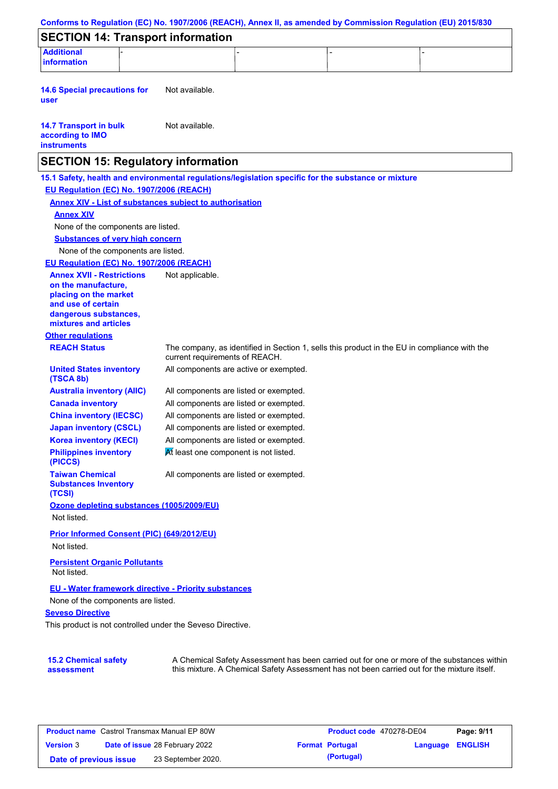| Conforms to Regulation (EC) No. 1907/2006 (REACH), Annex II, as amended by Commission Regulation (EU) 2015/830                  |                                        |  |                                                                                                                                                                                           |  |  |
|---------------------------------------------------------------------------------------------------------------------------------|----------------------------------------|--|-------------------------------------------------------------------------------------------------------------------------------------------------------------------------------------------|--|--|
| <b>SECTION 14: Transport information</b>                                                                                        |                                        |  |                                                                                                                                                                                           |  |  |
| <b>Additional</b><br><b>information</b>                                                                                         |                                        |  |                                                                                                                                                                                           |  |  |
|                                                                                                                                 |                                        |  |                                                                                                                                                                                           |  |  |
| <b>14.6 Special precautions for</b><br>user                                                                                     | Not available.                         |  |                                                                                                                                                                                           |  |  |
| <b>14.7 Transport in bulk</b><br>according to IMO<br><b>instruments</b>                                                         | Not available.                         |  |                                                                                                                                                                                           |  |  |
| <b>SECTION 15: Regulatory information</b>                                                                                       |                                        |  |                                                                                                                                                                                           |  |  |
| 15.1 Safety, health and environmental regulations/legislation specific for the substance or mixture                             |                                        |  |                                                                                                                                                                                           |  |  |
| EU Regulation (EC) No. 1907/2006 (REACH)                                                                                        |                                        |  |                                                                                                                                                                                           |  |  |
| <b>Annex XIV - List of substances subject to authorisation</b>                                                                  |                                        |  |                                                                                                                                                                                           |  |  |
| <b>Annex XIV</b>                                                                                                                |                                        |  |                                                                                                                                                                                           |  |  |
| None of the components are listed.                                                                                              |                                        |  |                                                                                                                                                                                           |  |  |
| <b>Substances of very high concern</b>                                                                                          |                                        |  |                                                                                                                                                                                           |  |  |
| None of the components are listed.                                                                                              |                                        |  |                                                                                                                                                                                           |  |  |
| EU Regulation (EC) No. 1907/2006 (REACH)                                                                                        |                                        |  |                                                                                                                                                                                           |  |  |
| <b>Annex XVII - Restrictions</b><br>on the manufacture.<br>placing on the market<br>and use of certain<br>dangerous substances, | Not applicable.                        |  |                                                                                                                                                                                           |  |  |
| mixtures and articles                                                                                                           |                                        |  |                                                                                                                                                                                           |  |  |
| <b>Other regulations</b>                                                                                                        |                                        |  |                                                                                                                                                                                           |  |  |
| <b>REACH Status</b>                                                                                                             | current requirements of REACH.         |  | The company, as identified in Section 1, sells this product in the EU in compliance with the                                                                                              |  |  |
| <b>United States inventory</b><br>(TSCA 8b)                                                                                     | All components are active or exempted. |  |                                                                                                                                                                                           |  |  |
| <b>Australia inventory (AIIC)</b>                                                                                               | All components are listed or exempted. |  |                                                                                                                                                                                           |  |  |
| <b>Canada inventory</b>                                                                                                         | All components are listed or exempted. |  |                                                                                                                                                                                           |  |  |
| <b>China inventory (IECSC)</b>                                                                                                  | All components are listed or exempted. |  |                                                                                                                                                                                           |  |  |
| <b>Japan inventory (CSCL)</b>                                                                                                   | All components are listed or exempted. |  |                                                                                                                                                                                           |  |  |
| <b>Korea inventory (KECI)</b>                                                                                                   | All components are listed or exempted. |  |                                                                                                                                                                                           |  |  |
| <b>Philippines inventory</b><br>(PICCS)                                                                                         | At least one component is not listed.  |  |                                                                                                                                                                                           |  |  |
| <b>Taiwan Chemical</b><br><b>Substances Inventory</b><br>(TCSI)                                                                 | All components are listed or exempted. |  |                                                                                                                                                                                           |  |  |
| Ozone depleting substances (1005/2009/EU)                                                                                       |                                        |  |                                                                                                                                                                                           |  |  |
| Not listed.                                                                                                                     |                                        |  |                                                                                                                                                                                           |  |  |
| Prior Informed Consent (PIC) (649/2012/EU)                                                                                      |                                        |  |                                                                                                                                                                                           |  |  |
| Not listed.                                                                                                                     |                                        |  |                                                                                                                                                                                           |  |  |
| <b>Persistent Organic Pollutants</b><br>Not listed.                                                                             |                                        |  |                                                                                                                                                                                           |  |  |
| EU - Water framework directive - Priority substances                                                                            |                                        |  |                                                                                                                                                                                           |  |  |
| None of the components are listed.                                                                                              |                                        |  |                                                                                                                                                                                           |  |  |
| <b>Seveso Directive</b>                                                                                                         |                                        |  |                                                                                                                                                                                           |  |  |
| This product is not controlled under the Seveso Directive.                                                                      |                                        |  |                                                                                                                                                                                           |  |  |
|                                                                                                                                 |                                        |  |                                                                                                                                                                                           |  |  |
| <b>15.2 Chemical safety</b><br>assessment                                                                                       |                                        |  | A Chemical Safety Assessment has been carried out for one or more of the substances within<br>this mixture. A Chemical Safety Assessment has not been carried out for the mixture itself. |  |  |

| <b>Product name</b> Castrol Transmax Manual EP 80W |                                       | <b>Product code</b> 470278-DE04 |  | Page: 9/11             |                         |  |
|----------------------------------------------------|---------------------------------------|---------------------------------|--|------------------------|-------------------------|--|
| <b>Version 3</b>                                   | <b>Date of issue 28 February 2022</b> |                                 |  | <b>Format Portugal</b> | <b>Language ENGLISH</b> |  |
| Date of previous issue                             |                                       | 23 September 2020.              |  | (Portugal)             |                         |  |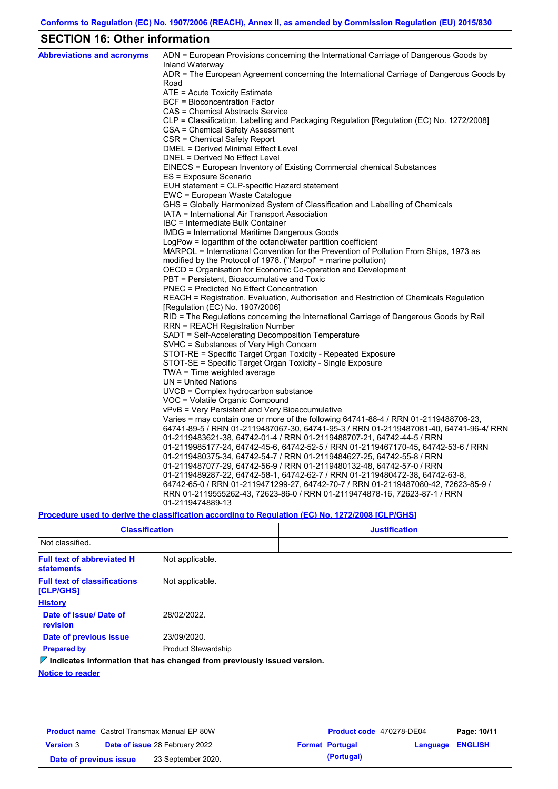## **SECTION 16: Other information**

| <b>Abbreviations and acronyms</b> | ADN = European Provisions concerning the International Carriage of Dangerous Goods by<br>Inland Waterway |
|-----------------------------------|----------------------------------------------------------------------------------------------------------|
|                                   | ADR = The European Agreement concerning the International Carriage of Dangerous Goods by<br>Road         |
|                                   | ATE = Acute Toxicity Estimate                                                                            |
|                                   | <b>BCF</b> = Bioconcentration Factor                                                                     |
|                                   | CAS = Chemical Abstracts Service                                                                         |
|                                   | CLP = Classification, Labelling and Packaging Regulation [Regulation (EC) No. 1272/2008]                 |
|                                   | CSA = Chemical Safety Assessment                                                                         |
|                                   | CSR = Chemical Safety Report                                                                             |
|                                   | <b>DMEL = Derived Minimal Effect Level</b>                                                               |
|                                   | DNEL = Derived No Effect Level                                                                           |
|                                   | EINECS = European Inventory of Existing Commercial chemical Substances                                   |
|                                   | ES = Exposure Scenario                                                                                   |
|                                   | EUH statement = CLP-specific Hazard statement                                                            |
|                                   | EWC = European Waste Catalogue                                                                           |
|                                   | GHS = Globally Harmonized System of Classification and Labelling of Chemicals                            |
|                                   | IATA = International Air Transport Association                                                           |
|                                   | IBC = Intermediate Bulk Container                                                                        |
|                                   | IMDG = International Maritime Dangerous Goods                                                            |
|                                   | LogPow = logarithm of the octanol/water partition coefficient                                            |
|                                   | MARPOL = International Convention for the Prevention of Pollution From Ships, 1973 as                    |
|                                   | modified by the Protocol of 1978. ("Marpol" = marine pollution)                                          |
|                                   | OECD = Organisation for Economic Co-operation and Development                                            |
|                                   | PBT = Persistent, Bioaccumulative and Toxic                                                              |
|                                   | <b>PNEC</b> = Predicted No Effect Concentration                                                          |
|                                   | REACH = Registration, Evaluation, Authorisation and Restriction of Chemicals Regulation                  |
|                                   | [Regulation (EC) No. 1907/2006]                                                                          |
|                                   | RID = The Regulations concerning the International Carriage of Dangerous Goods by Rail                   |
|                                   | <b>RRN = REACH Registration Number</b><br>SADT = Self-Accelerating Decomposition Temperature             |
|                                   | SVHC = Substances of Very High Concern                                                                   |
|                                   | STOT-RE = Specific Target Organ Toxicity - Repeated Exposure                                             |
|                                   | STOT-SE = Specific Target Organ Toxicity - Single Exposure                                               |
|                                   | TWA = Time weighted average                                                                              |
|                                   | $UN = United Nations$                                                                                    |
|                                   | $UVCB = Complex\;hydrocarbon\; substance$                                                                |
|                                   | VOC = Volatile Organic Compound                                                                          |
|                                   | vPvB = Very Persistent and Very Bioaccumulative                                                          |
|                                   | Varies = may contain one or more of the following $64741-88-4$ / RRN 01-2119488706-23,                   |
|                                   | 64741-89-5 / RRN 01-2119487067-30, 64741-95-3 / RRN 01-2119487081-40, 64741-96-4/ RRN                    |
|                                   | 01-2119483621-38, 64742-01-4 / RRN 01-2119488707-21, 64742-44-5 / RRN                                    |
|                                   | 01-2119985177-24, 64742-45-6, 64742-52-5 / RRN 01-2119467170-45, 64742-53-6 / RRN                        |
|                                   | 01-2119480375-34, 64742-54-7 / RRN 01-2119484627-25, 64742-55-8 / RRN                                    |
|                                   | 01-2119487077-29, 64742-56-9 / RRN 01-2119480132-48, 64742-57-0 / RRN                                    |
|                                   | 01-2119489287-22, 64742-58-1, 64742-62-7 / RRN 01-2119480472-38, 64742-63-8,                             |
|                                   | 64742-65-0 / RRN 01-2119471299-27, 64742-70-7 / RRN 01-2119487080-42, 72623-85-9 /                       |
|                                   | RRN 01-2119555262-43, 72623-86-0 / RRN 01-2119474878-16, 72623-87-1 / RRN                                |
|                                   | 01-2119474889-13                                                                                         |
|                                   |                                                                                                          |

## **Procedure used to derive the classification according to Regulation (EC) No. 1272/2008 [CLP/GHS]**

| <b>Classification</b>                                  |                                                                                 | <b>Justification</b> |
|--------------------------------------------------------|---------------------------------------------------------------------------------|----------------------|
| Not classified.                                        |                                                                                 |                      |
| <b>Full text of abbreviated H</b><br><b>statements</b> | Not applicable.                                                                 |                      |
| <b>Full text of classifications</b><br>[CLP/GHS]       | Not applicable.                                                                 |                      |
| <b>History</b>                                         |                                                                                 |                      |
| Date of issue/Date of<br><b>revision</b>               | 28/02/2022.                                                                     |                      |
| Date of previous issue                                 | 23/09/2020.                                                                     |                      |
| <b>Prepared by</b>                                     | <b>Product Stewardship</b>                                                      |                      |
|                                                        | $\nabla$ Indicates information that has changed from previously issued version. |                      |
| Matina ta sandas                                       |                                                                                 |                      |

**Notice to reader**

| <b>Product name</b> Castrol Transmax Manual EP 80W |                                       | Product code 470278-DE04 |                        | Page: 10/11 |                  |  |
|----------------------------------------------------|---------------------------------------|--------------------------|------------------------|-------------|------------------|--|
| <b>Version 3</b>                                   | <b>Date of issue 28 February 2022</b> |                          | <b>Format Portugal</b> |             | Language ENGLISH |  |
| Date of previous issue                             |                                       | 23 September 2020.       |                        | (Portugal)  |                  |  |